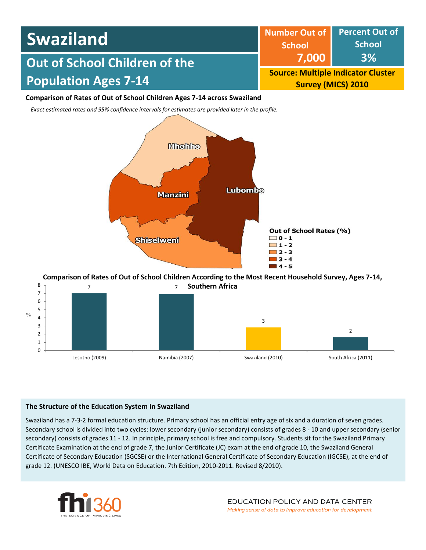| <b>Swaziland</b>              | Number Out of Percent Out of<br><b>School</b>                          | School    |  |
|-------------------------------|------------------------------------------------------------------------|-----------|--|
| Out of School Children of the | 7.000                                                                  | <b>3%</b> |  |
| <b>Population Ages 7-14</b>   | <b>Source: Multiple Indicator Cluster</b><br><b>Survey (MICS) 2010</b> |           |  |

### **Comparison of Rates of Out of School Children Ages 7-14 across Swaziland**

*Exact estimated rates and 95% confidence intervals for estimates are provided later in the profile.* 



#### 7 7 8 **Comparison of Rates of Out of School Children According to the Most Recent Household Survey, Ages 7-14, Southern Africa**



### **The Structure of the Education System in Swaziland**

Swaziland has a 7-3-2 formal education structure. Primary school has an official entry age of six and a duration of seven grades. Secondary school is divided into two cycles: lower secondary (junior secondary) consists of grades 8 - 10 and upper secondary (senior secondary) consists of grades 11 - 12. In principle, primary school is free and compulsory. Students sit for the Swaziland Primary Certificate Examination at the end of grade 7, the Junior Certificate (JC) exam at the end of grade 10, the Swaziland General Certificate of Secondary Education (SGCSE) or the International General Certificate of Secondary Education (IGCSE), at the end of grade 12. (UNESCO IBE, World Data on Education. 7th Edition, 2010-2011. Revised 8/2010).

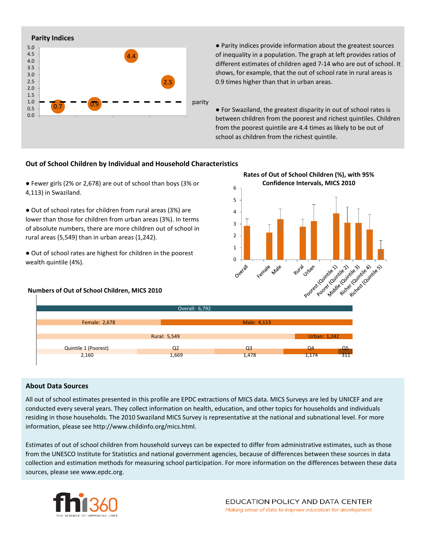

● Parity indices provide information about the greatest sources of inequality in a population. The graph at left provides ratios of different estimates of children aged 7-14 who are out of school. It shows, for example, that the out of school rate in rural areas is 0.9 times higher than that in urban areas.

● For Swaziland, the greatest disparity in out of school rates is between children from the poorest and richest quintiles. Children from the poorest quintile are 4.4 times as likely to be out of school as children from the richest quintile.

#### **Out of School Children by Individual and Household Characteristics**

● Fewer girls (2% or 2,678) are out of school than boys (3% or 4,113) in Swaziland.

● Out of school rates for children from rural areas (3%) are lower than those for children from urban areas (3%). In terms of absolute numbers, there are more children out of school in rural areas (5,549) than in urban areas (1,242).

● Out of school rates are highest for children in the poorest wealth quintile (4%).

#### **Numbers of Out of School Children, MICS 2010**





#### **About Data Sources**

All out of school estimates presented in this profile are EPDC extractions of MICS data. MICS Surveys are led by UNICEF and are conducted every several years. They collect information on health, education, and other topics for households and individuals residing in those households. The 2010 Swaziland MICS Survey is representative at the national and subnational level. For more information, please see http://www.childinfo.org/mics.html.

Estimates of out of school children from household surveys can be expected to differ from administrative estimates, such as those from the UNESCO Institute for Statistics and national government agencies, because of differences between these sources in data collection and estimation methods for measuring school participation. For more information on the differences between these data sources, please see www.epdc.org.

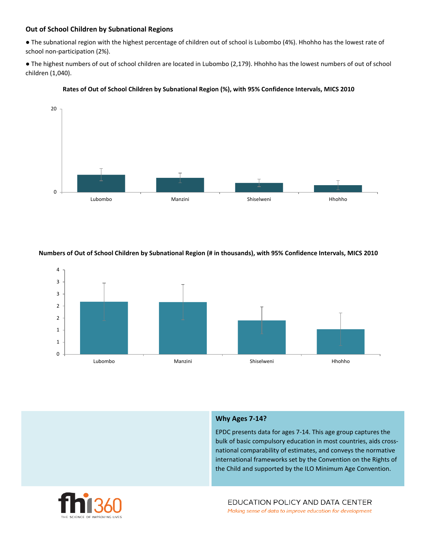## **Out of School Children by Subnational Regions**

● The subnational region with the highest percentage of children out of school is Lubombo (4%). Hhohho has the lowest rate of school non-participation (2%).

● The highest numbers of out of school children are located in Lubombo (2,179). Hhohho has the lowest numbers of out of school children (1,040).



#### **Rates of Out of School Children by Subnational Region (%), with 95% Confidence Intervals, MICS 2010**

#### **Numbers of Out of School Children by Subnational Region (# in thousands), with 95% Confidence Intervals, MICS 2010**



### **Why Ages 7-14?**

EPDC presents data for ages 7-14. This age group captures the bulk of basic compulsory education in most countries, aids crossnational comparability of estimates, and conveys the normative international frameworks set by the Convention on the Rights of the Child and supported by the ILO Minimum Age Convention.

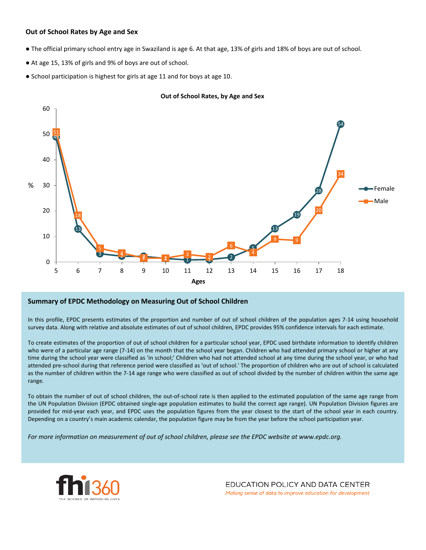#### **Out of School Rates by Age and Sex**

- The official primary school entry age in Swaziland is age 6. At that age, 13% of girls and 18% of boys are out of school.
- At age 15, 13% of girls and 9% of boys are out of school.
- School participation is highest for girls at age 11 and for boys at age 10.





#### **Summary of EPDC Methodology on Measuring Out of School Children**

In this profile, EPDC presents estimates of the proportion and number of out of school children of the population ages 7-14 using household survey data. Along with relative and absolute estimates of out of school children, EPDC provides 95% confidence intervals for each estimate.

To create estimates of the proportion of out of school children for a particular school year, EPDC used birthdate information to identify children who were of a particular age range (7-14) on the month that the school year began. Children who had attended primary school or higher at any time during the school year were classified as 'in school;' Children who had not attended school at any time during the school year, or who had attended pre-school during that reference period were classified as 'out of school.' The proportion of children who are out of school is calculated as the number of children within the 7-14 age range who were classified as out of school divided by the number of children within the same age range.

To obtain the number of out of school children, the out-of-school rate is then applied to the estimated population of the same age range from the UN Population Division (EPDC obtained single-age population estimates to build the correct age range). UN Population Division figures are provided for mid-year each year, and EPDC uses the population figures from the year closest to the start of the school year in each country. Depending on a country's main academic calendar, the population figure may be from the year before the school participation year.

For more information on measurement of out of school children, please see the EPDC website at www.epdc.org.



EDUCATION POLICY AND DATA CENTER Making sense of data to improve education for development